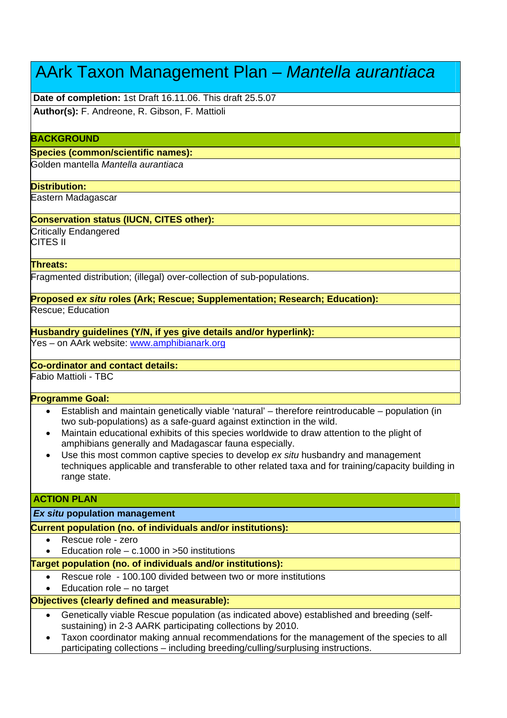# AArk Taxon Management Plan – *Mantella aurantiaca*

**Date of completion:** 1st Draft 16.11.06. This draft 25.5.07

**Author(s):** F. Andreone, R. Gibson, F. Mattioli

# **BACKGROUND**

#### **Species (common/scientific names):**

Golden mantella *Mantella aurantiaca*

## **Distribution:**

Eastern Madagascar

# **Conservation status (IUCN, CITES other):**

Critically Endangered CITES II

## **Threats:**

Fragmented distribution; (illegal) over-collection of sub-populations.

**Proposed** *ex situ* **roles (Ark; Rescue; Supplementation; Research; Education):**

Rescue; Education

# **Husbandry guidelines (Y/N, if yes give details and/or hyperlink):**

Yes – on AArk website: www.amphibianark.org

# **Co-ordinator and contact details:**

Fabio Mattioli - TBC

# **Programme Goal:**

- Establish and maintain genetically viable 'natural' therefore reintroducable population (in two sub-populations) as a safe-guard against extinction in the wild.
- Maintain educational exhibits of this species worldwide to draw attention to the plight of amphibians generally and Madagascar fauna especially.
- Use this most common captive species to develop *ex situ* husbandry and management techniques applicable and transferable to other related taxa and for training/capacity building in range state.

# **ACTION PLAN**

# *Ex situ* **population management**

**Current population (no. of individuals and/or institutions):**

- Rescue role zero
- Education role  $-$  c.1000 in  $>50$  institutions

# **Target population (no. of individuals and/or institutions):**

- Rescue role 100.100 divided between two or more institutions
- Education role no target

# **Objectives (clearly defined and measurable):**

- Genetically viable Rescue population (as indicated above) established and breeding (selfsustaining) in 2-3 AARK participating collections by 2010.
- Taxon coordinator making annual recommendations for the management of the species to all participating collections – including breeding/culling/surplusing instructions.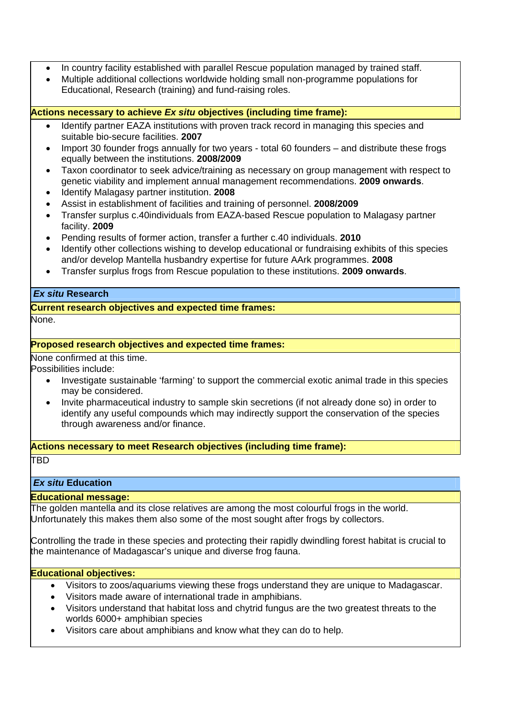- In country facility established with parallel Rescue population managed by trained staff.
- Multiple additional collections worldwide holding small non-programme populations for Educational, Research (training) and fund-raising roles.

**Actions necessary to achieve** *Ex situ* **objectives (including time frame):** 

- Identify partner EAZA institutions with proven track record in managing this species and suitable bio-secure facilities. **2007**
- Import 30 founder frogs annually for two years total 60 founders and distribute these frogs equally between the institutions. **2008/2009**
- Taxon coordinator to seek advice/training as necessary on group management with respect to genetic viability and implement annual management recommendations. **2009 onwards**.
- Identify Malagasy partner institution. **2008**
- Assist in establishment of facilities and training of personnel. **2008/2009**
- Transfer surplus c.40individuals from EAZA-based Rescue population to Malagasy partner facility. **2009**
- Pending results of former action, transfer a further c.40 individuals. **2010**
- Identify other collections wishing to develop educational or fundraising exhibits of this species and/or develop Mantella husbandry expertise for future AArk programmes. **2008**
- Transfer surplus frogs from Rescue population to these institutions. **2009 onwards**.

# *Ex situ* **Research**

**Current research objectives and expected time frames:**

None.

# **Proposed research objectives and expected time frames:**

None confirmed at this time. Possibilities include:

- Investigate sustainable 'farming' to support the commercial exotic animal trade in this species may be considered.
- Invite pharmaceutical industry to sample skin secretions (if not already done so) in order to identify any useful compounds which may indirectly support the conservation of the species through awareness and/or finance.

**Actions necessary to meet Research objectives (including time frame):**

# TBD

*Ex situ* **Education** 

# **Educational message:**

The golden mantella and its close relatives are among the most colourful frogs in the world. Unfortunately this makes them also some of the most sought after frogs by collectors.

Controlling the trade in these species and protecting their rapidly dwindling forest habitat is crucial to the maintenance of Madagascar's unique and diverse frog fauna.

# **Educational objectives:**

- Visitors to zoos/aquariums viewing these frogs understand they are unique to Madagascar.
- Visitors made aware of international trade in amphibians.
- Visitors understand that habitat loss and chytrid fungus are the two greatest threats to the worlds 6000+ amphibian species
- Visitors care about amphibians and know what they can do to help.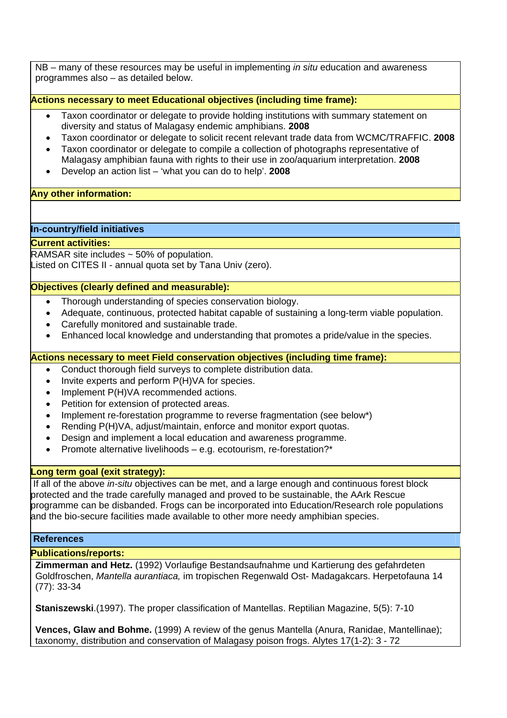NB – many of these resources may be useful in implementing *in situ* education and awareness programmes also – as detailed below.

**Actions necessary to meet Educational objectives (including time frame):**

- Taxon coordinator or delegate to provide holding institutions with summary statement on diversity and status of Malagasy endemic amphibians. **2008**
- Taxon coordinator or delegate to solicit recent relevant trade data from WCMC/TRAFFIC. **2008**
- Taxon coordinator or delegate to compile a collection of photographs representative of Malagasy amphibian fauna with rights to their use in zoo/aquarium interpretation. **2008**
- Develop an action list 'what you can do to help'. **2008**

## **Any other information:**

## **In-country/field initiatives**

## **Current activities:**

RAMSAR site includes ~ 50% of population. Listed on CITES II - annual quota set by Tana Univ (zero).

## **Objectives (clearly defined and measurable):**

- Thorough understanding of species conservation biology.
- Adequate, continuous, protected habitat capable of sustaining a long-term viable population.
- Carefully monitored and sustainable trade.
- Enhanced local knowledge and understanding that promotes a pride/value in the species.

## **Actions necessary to meet Field conservation objectives (including time frame):**

- Conduct thorough field surveys to complete distribution data.
- Invite experts and perform P(H)VA for species.
- Implement P(H)VA recommended actions.
- Petition for extension of protected areas.
- Implement re-forestation programme to reverse fragmentation (see below\*)
- Rending P(H)VA, adjust/maintain, enforce and monitor export quotas.
- Design and implement a local education and awareness programme.
- Promote alternative livelihoods e.g. ecotourism, re-forestation?\*

## **Long term goal (exit strategy):**

If all of the above *in-situ* objectives can be met, and a large enough and continuous forest block protected and the trade carefully managed and proved to be sustainable, the AArk Rescue programme can be disbanded. Frogs can be incorporated into Education/Research role populations and the bio-secure facilities made available to other more needy amphibian species.

#### **References**

# **Publications/reports:**

**Zimmerman and Hetz.** (1992) Vorlaufige Bestandsaufnahme und Kartierung des gefahrdeten Goldfroschen, *Mantella aurantiaca,* im tropischen Regenwald Ost- Madagakcars. Herpetofauna 14 (77): 33-34

**Staniszewski**.(1997). The proper classification of Mantellas. Reptilian Magazine, 5(5): 7-10

**Vences, Glaw and Bohme.** (1999) A review of the genus Mantella (Anura, Ranidae, Mantellinae); taxonomy, distribution and conservation of Malagasy poison frogs. Alytes 17(1-2): 3 - 72